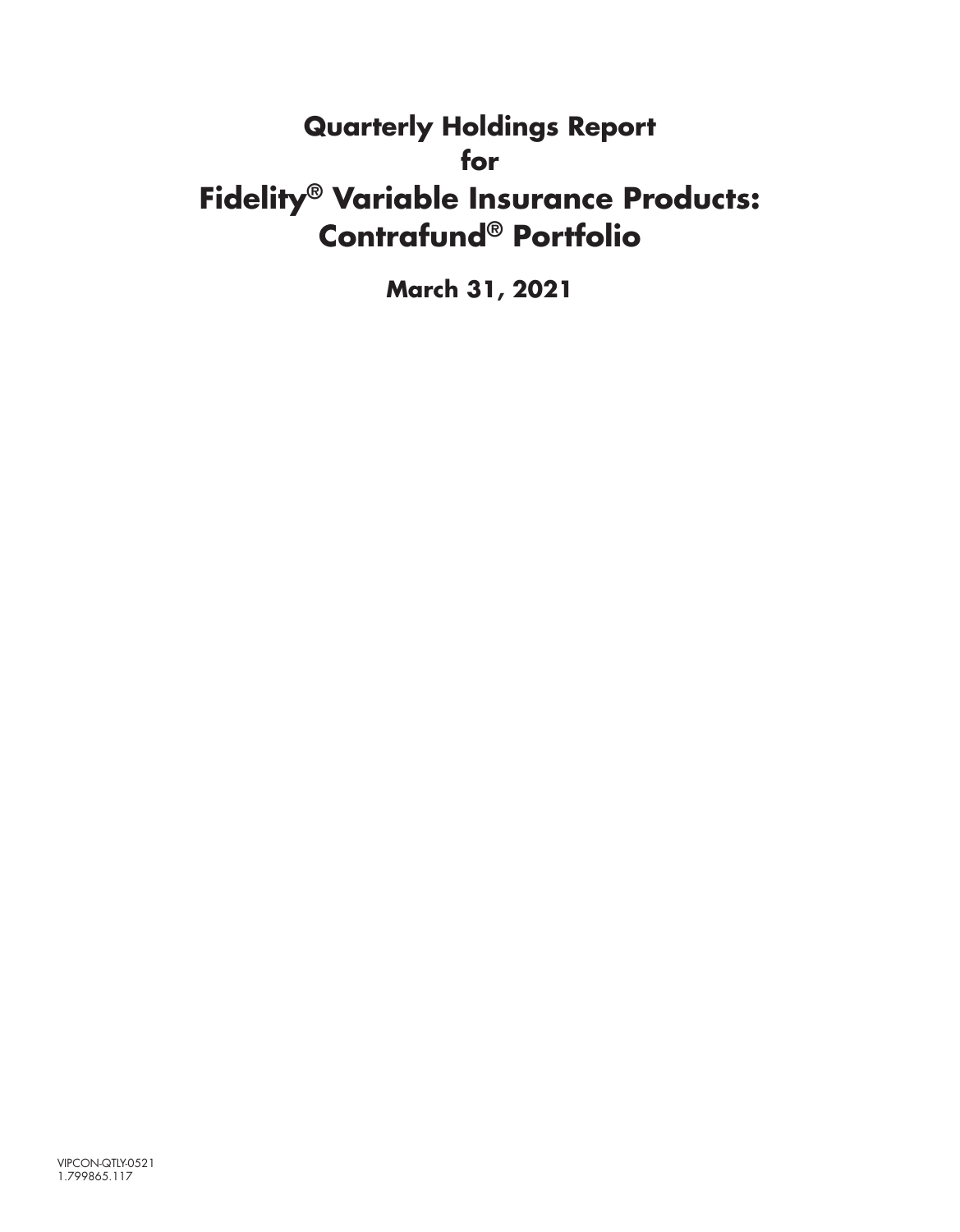# **Quarterly Holdings Report for Fidelity® Variable Insurance Products: Contrafund® Portfolio**

**March 31, 2021**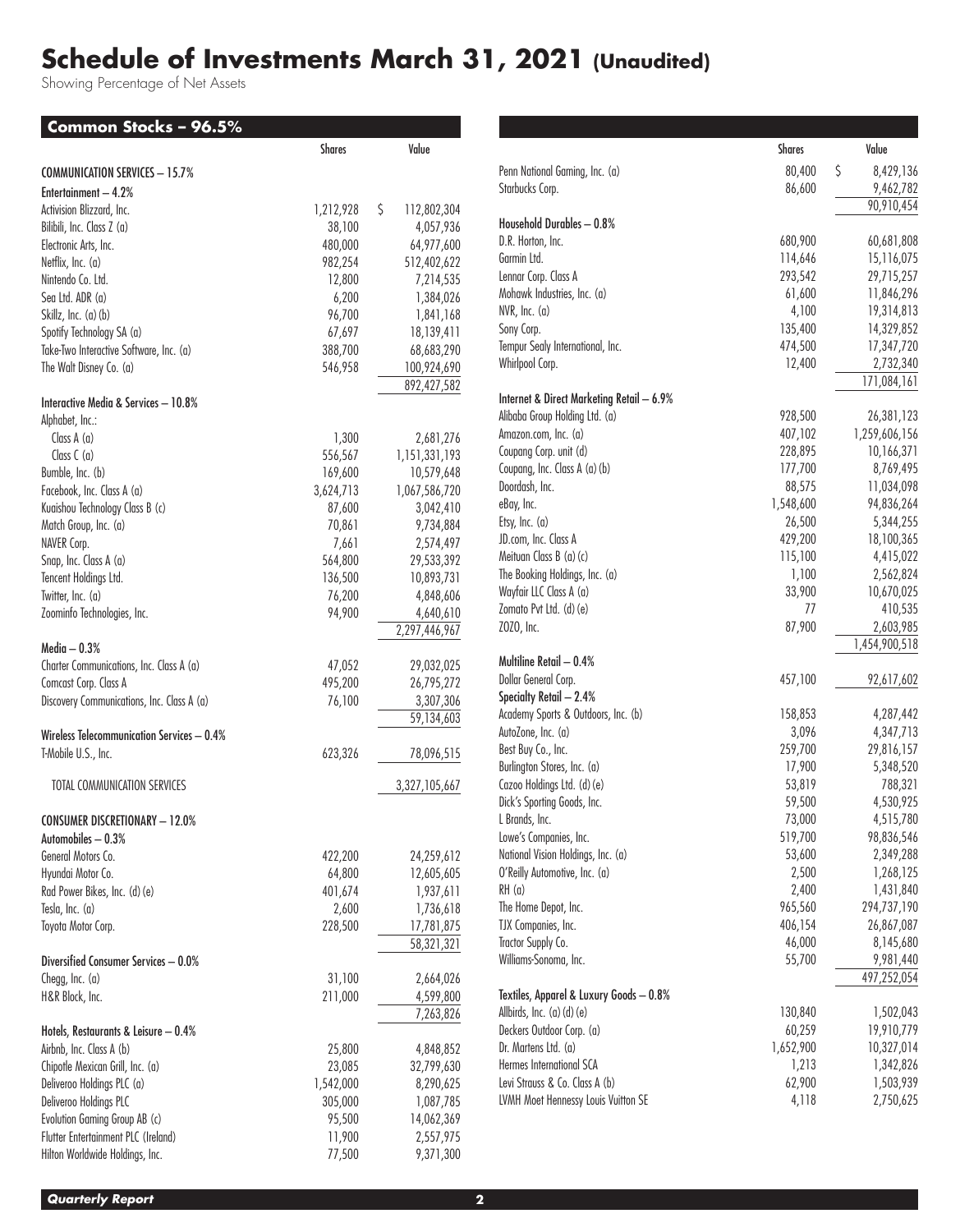## **Schedule of Investments March 31, 2021 (Unaudited)**

Showing Percentage of Net Assets

| Common Stocks - 96.5%                      |               |                   |
|--------------------------------------------|---------------|-------------------|
|                                            | <b>Shares</b> | Value             |
| <b>COMMUNICATION SERVICES - 15.7%</b>      |               |                   |
| Entertainment - 4.2%                       |               |                   |
| Activision Blizzard, Inc.                  | 1,212,928     | \$<br>112,802,304 |
| Bilibili, Inc. Class Z (a)                 | 38,100        | 4,057,936         |
| Electronic Arts, Inc.                      | 480,000       | 64,977,600        |
| Netflix, Inc. (a)                          | 982,254       | 512,402,622       |
| Nintendo Co. Ltd.                          | 12,800        | 7,214,535         |
| Sea Ltd. ADR (a)                           | 6,200         | 1,384,026         |
| Skillz, Inc. (a) (b)                       | 96,700        | 1,841,168         |
| Spotify Technology SA (a)                  | 67,697        | 18,139,411        |
| Take-Two Interactive Software, Inc. (a)    | 388,700       | 68,683,290        |
| The Walt Disney Co. (a)                    | 546,958       | 100,924,690       |
| Interactive Media & Services - 10.8%       |               | 892,427,582       |
| Alphabet, Inc.:                            |               |                   |
| Class $A(a)$                               | 1,300         | 2,681,276         |
| Class $C$ (a)                              | 556,567       | 1,151,331,193     |
| Bumble, Inc. (b)                           | 169,600       | 10,579,648        |
| Facebook, Inc. Class A (a)                 | 3,624,713     | 1,067,586,720     |
| Kuaishou Technology Class B (c)            | 87,600        | 3,042,410         |
| Match Group, Inc. (a)                      | 70,861        | 9,734,884         |
| NAVER Corp.                                | 7,661         | 2,574,497         |
| Snap, Inc. Class A (a)                     | 564,800       | 29,533,392        |
| Tencent Holdings Ltd.                      | 136,500       | 10,893,731        |
| Twitter, Inc. (a)                          | 76,200        | 4,848,606         |
| Zoominfo Technologies, Inc.                | 94,900        | 4,640,610         |
|                                            |               | 2,297,446,967     |
| Media — $0.3\%$                            |               |                   |
| Charter Communications, Inc. Class A (a)   | 47,052        | 29,032,025        |
| Comcast Corp. Class A                      | 495,200       | 26,795,272        |
| Discovery Communications, Inc. Class A (a) | 76,100        | 3,307,306         |
|                                            |               | 59,134,603        |
| Wireless Telecommunication Services - 0.4% |               |                   |
| T-Mobile U.S., Inc.                        | 623,326       | 78,096,515        |
| TOTAL COMMUNICATION SERVICES               |               | 3,327,105,667     |
| CONSUMER DISCRETIONARY - 12.0%             |               |                   |
| Automobiles - 0.3%                         |               |                   |
| General Motors Co.                         | 422,200       | 24,259,612        |
| Hyundai Motor Co.                          | 64,800        | 12,605,605        |
| Rad Power Bikes, Inc. (d) (e)              | 401,674       | 1,937,611         |
| Tesla, Inc. (a)                            | 2,600         | 1,736,618         |
| Toyota Motor Corp.                         | 228,500       | 17,781,875        |
|                                            |               | 58,321,321        |
| Diversified Consumer Services - 0.0%       |               |                   |
| Chegg, $Inc.$ (a)                          | 31,100        | 2,664,026         |
| H&R Block, Inc.                            | 211,000       | 4,599,800         |
|                                            |               | 7,263,826         |
| Hotels, Restaurants & Leisure - 0.4%       |               |                   |
| Airbnb, Inc. Class A (b)                   | 25,800        | 4,848,852         |
| Chipotle Mexican Grill, Inc. (a)           | 23,085        | 32,799,630        |
| Deliveroo Holdings PLC (a)                 | 1,542,000     | 8,290,625         |
| Deliveroo Holdings PLC                     | 305,000       | 1,087,785         |
| Evolution Gaming Group AB (c)              | 95,500        | 14,062,369        |
| Flutter Entertainment PLC (Ireland)        | 11,900        | 2,557,975         |
| Hilton Worldwide Holdings, Inc.            | 77,500        | 9,371,300         |

|                                           | Shares             | Value                    |
|-------------------------------------------|--------------------|--------------------------|
| Penn National Gaming, Inc. (a)            | 80,400             | \$<br>8,429,136          |
| Starbucks Corp.                           | 86,600             | 9,462,782                |
|                                           |                    | 90,910,454               |
| Household Durables - 0.8%                 |                    |                          |
| D.R. Horton, Inc.<br>Garmin Ltd.          | 680,900            | 60,681,808               |
|                                           | 114,646            | 15,116,075               |
| Lennar Corp. Class A                      | 293,542            | 29,715,257               |
| Mohawk Industries, Inc. (a)               | 61,600             | 11,846,296               |
| NVR, Inc. (a)<br>Sony Corp.               | 4,100              | 19,314,813               |
| Tempur Sealy International, Inc.          | 135,400<br>474,500 | 14,329,852<br>17,347,720 |
| Whirlpool Corp.                           | 12,400             | 2,732,340                |
|                                           |                    | 171,084,161              |
| Internet & Direct Marketing Retail - 6.9% |                    |                          |
| Alibaba Group Holding Ltd. (a)            | 928,500            | 26,381,123               |
| Amazon.com, Inc. (a)                      | 407,102            | 1,259,606,156            |
| Coupang Corp. unit (d)                    | 228,895            | 10,166,371               |
| Coupang, Inc. Class A (a) (b)             | 177,700            | 8,769,495                |
| Doordash, Inc.                            | 88,575             | 11,034,098               |
| eBay, Inc.                                | 1,548,600          | 94,836,264               |
| Etsy, Inc. (a)                            | 26,500             | 5,344,255                |
| JD.com, Inc. Class A                      | 429,200            | 18,100,365               |
| Meituan Class B (a) (c)                   | 115,100            | 4,415,022                |
| The Booking Holdings, Inc. (a)            | 1,100              | 2,562,824                |
| Wayfair LLC Class A (a)                   | 33,900             | 10,670,025               |
| Zomato Pvt Ltd. (d) (e)                   | 77                 | 410,535                  |
| ZOZO, Inc.                                | 87,900             | 2,603,985                |
| Multiline Retail - 0.4%                   |                    | 1,454,900,518            |
| Dollar General Corp.                      | 457,100            | 92,617,602               |
| Specialty Retail - 2.4%                   |                    |                          |
| Academy Sports & Outdoors, Inc. (b)       | 158,853            | 4,287,442                |
| AutoZone, Inc. (a)                        | 3,096              | 4,347,713                |
| Best Buy Co., Inc.                        | 259,700            | 29,816,157               |
| Burlington Stores, Inc. (a)               | 17,900             | 5,348,520                |
| Cazoo Holdings Ltd. (d) (e)               | 53,819             | 788,321                  |
| Dick's Sporting Goods, Inc.               | 59,500             | 4,530,925                |
| L Brands, Inc.                            | 73,000             | 4,515,780                |
| Lowe's Companies, Inc.                    | 519,700            | 98,836,546               |
| National Vision Holdings, Inc. (a)        | 53,600             | 2,349,288                |
| O'Reilly Automotive, Inc. (a)             | 2,500              | 1,268,125                |
| RH (a)                                    | 2,400              | 1,431,840                |
| The Home Depot, Inc.                      | 965,560            | 294,737,190              |
| TJX Companies, Inc.                       | 406,154            | 26,867,087               |
| Tractor Supply Co.                        | 46,000             | 8,145,680                |
| Williams-Sonoma, Inc.                     | 55,700             | 9,981,440                |
|                                           |                    | 497,252,054              |
| Textiles, Apparel & Luxury Goods - 0.8%   |                    |                          |
| Allbirds, Inc. (a) (d) (e)                | 130,840            | 1,502,043                |
| Deckers Outdoor Corp. (a)                 | 60,259             | 19,910,779               |
| Dr. Martens Ltd. (a)                      | 1,652,900          | 10,327,014               |
| Hermes International SCA                  | 1,213              | 1,342,826                |
| Levi Strauss & Co. Class A (b)            | 62,900             | 1,503,939                |
| LVMH Moet Hennessy Louis Vuitton SE       | 4,118              | 2,750,625                |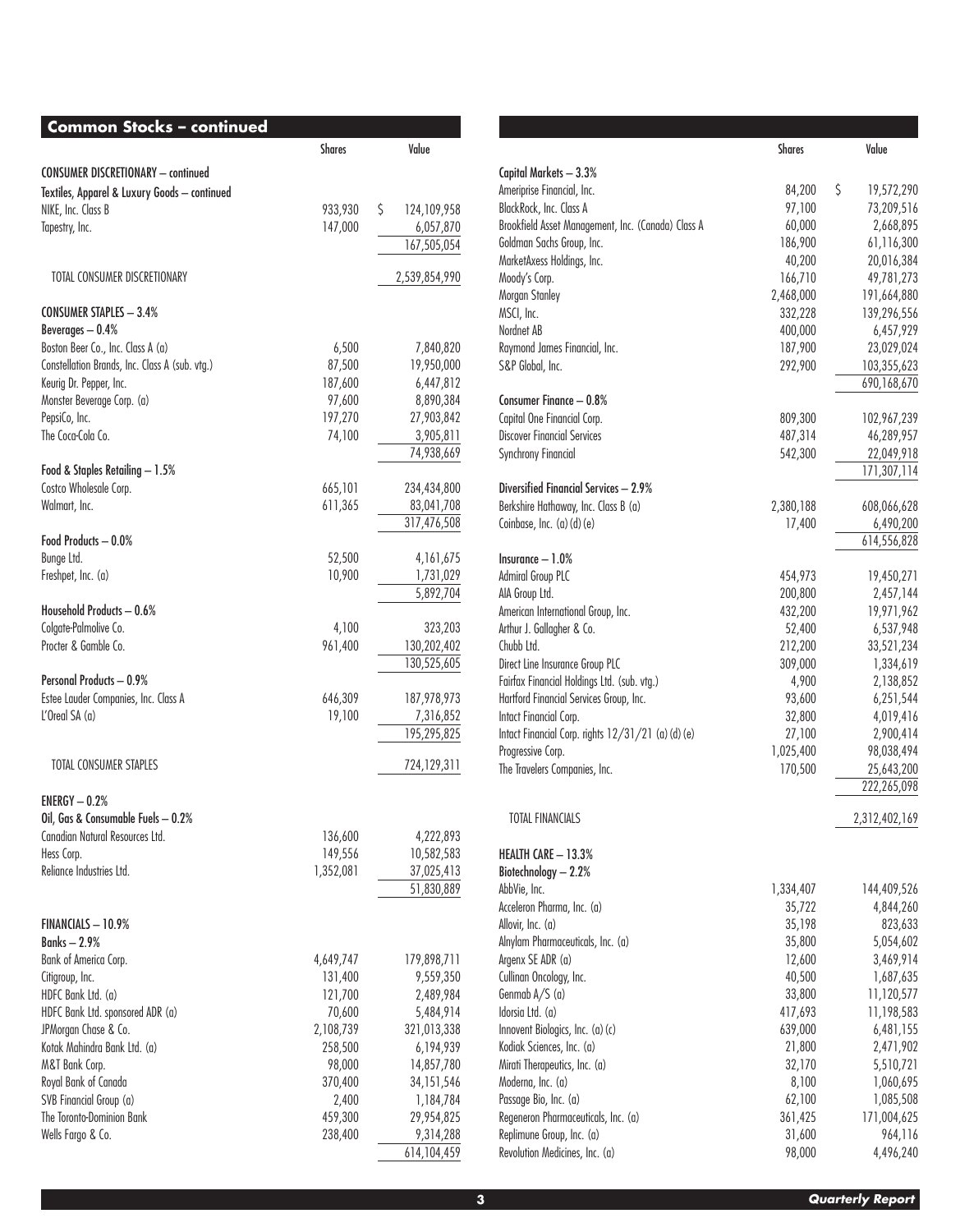| <b>Common Stocks - continued</b>                     |               |                         |
|------------------------------------------------------|---------------|-------------------------|
|                                                      | <b>Shares</b> | Value                   |
| <b>CONSUMER DISCRETIONARY - continued</b>            |               |                         |
| Textiles, Apparel & Luxury Goods - continued         |               |                         |
| NIKE, Inc. Class B                                   | 933,930       | \$<br>124,109,958       |
| Tapestry, Inc.                                       | 147,000       | 6,057,870               |
|                                                      |               | 167,505,054             |
| TOTAL CONSUMER DISCRETIONARY                         |               | 2,539,854,990           |
| <b>CONSUMER STAPLES - 3.4%</b>                       |               |                         |
| Beverages $-0.4%$                                    |               |                         |
| Boston Beer Co., Inc. Class A (a)                    | 6,500         | 7,840,820               |
| Constellation Brands, Inc. Class A (sub. vtg.)       | 87,500        | 19,950,000              |
| Keurig Dr. Pepper, Inc.                              | 187,600       | 6,447,812               |
| Monster Beverage Corp. (a)                           | 97,600        | 8,890,384               |
| PepsiCo, Inc.                                        | 197,270       | 27,903,842              |
| The Coca-Cola Co.                                    | 74,100        | 3,905,811               |
|                                                      |               | 74,938,669              |
| Food & Staples Retailing - 1.5%                      |               |                         |
| Costco Wholesale Corp.                               | 665,101       | 234,434,800             |
| Walmart, Inc.                                        | 611,365       | 83,041,708              |
|                                                      |               | 317,476,508             |
| Food Products - 0.0%                                 |               |                         |
| Bunge Ltd.                                           | 52,500        | 4,161,675               |
| Freshpet, Inc. (a)                                   | 10,900        | 1,731,029               |
|                                                      |               | 5,892,704               |
| Household Products - 0.6%                            |               |                         |
| Colgate-Palmolive Co.<br>Procter & Gamble Co.        | 4,100         | 323,203                 |
|                                                      | 961,400       | 130,202,402             |
| <b>Personal Products - 0.9%</b>                      |               | 130,525,605             |
| Estee Lauder Companies, Inc. Class A                 | 646,309       | 187,978,973             |
| $L'$ Oreal SA $(a)$                                  | 19,100        | 7,316,852               |
|                                                      |               | 195,295,825             |
|                                                      |               |                         |
| TOTAL CONSUMER STAPLES                               |               | 724,129,311             |
| $FNRGY = 0.2%$                                       |               |                         |
| Oil, Gas & Consumable Fuels - 0.2%                   |               |                         |
| Canadian Natural Resources Ltd.                      | 136,600       | 4,222,893               |
| Hess Corp.                                           | 149,556       | 10,582,583              |
| Reliance Industries Ltd.                             | 1,352,081     | 37,025,413              |
|                                                      |               | 51,830,889              |
| FINANCIALS - 10.9%                                   |               |                         |
| <b>Banks - 2.9%</b>                                  |               |                         |
| Bank of America Corp.                                | 4,649,747     | 179,898,711             |
| Citigroup, Inc.                                      | 131,400       | 9,559,350               |
| HDFC Bank Ltd. (a)                                   | 121,700       | 2,489,984               |
| HDFC Bank Ltd. sponsored ADR (a)                     | 70,600        | 5,484,914               |
| JPMorgan Chase & Co.                                 | 2,108,739     | 321,013,338             |
| Kotak Mahindra Bank Ltd. (a)                         | 258,500       | 6,194,939               |
| M&T Bank Corp.                                       | 98,000        |                         |
| Royal Bank of Canada                                 |               | 14,857,780              |
|                                                      | 370,400       | 34, 151, 546            |
| SVB Financial Group (a)<br>The Toronto-Dominion Bank | 2,400         | 1,184,784               |
| Wells Fargo & Co.                                    | 459,300       | 29,954,825<br>9,314,288 |
|                                                      | 238,400       | 614,104,459             |
|                                                      |               |                         |

|                                                        | <b>Shares</b>        | Value                          |
|--------------------------------------------------------|----------------------|--------------------------------|
|                                                        |                      |                                |
| Capital Markets - 3.3%                                 |                      |                                |
| Ameriprise Financial, Inc.<br>BlackRock, Inc. Class A  | 84,200               | \$<br>19,572,290<br>73,209,516 |
| Brookfield Asset Management, Inc. (Canada) Class A     | 97,100<br>60,000     | 2,668,895                      |
| Goldman Sachs Group, Inc.                              | 186,900              | 61,116,300                     |
| MarketAxess Holdings, Inc.                             | 40,200               | 20,016,384                     |
| Moody's Corp.                                          | 166,710              | 49,781,273                     |
| Morgan Stanley                                         | 2,468,000            | 191,664,880                    |
| MSCI, Inc.                                             | 332,228              | 139,296,556                    |
| Nordnet AB                                             | 400,000              | 6,457,929                      |
| Raymond James Financial, Inc.                          | 187,900              | 23,029,024                     |
| S&P Global, Inc.                                       | 292,900              | 103,355,623                    |
|                                                        |                      | 690,168,670                    |
| Consumer Finance - 0.8%                                |                      |                                |
| Capital One Financial Corp.                            | 809,300              | 102,967,239                    |
| <b>Discover Financial Services</b>                     | 487,314              | 46,289,957                     |
| <b>Synchrony Financial</b>                             | 542,300              | 22,049,918                     |
| Diversified Financial Services - 2.9%                  |                      | 171,307,114                    |
| Berkshire Hathaway, Inc. Class B (a)                   | 2,380,188            | 608,066,628                    |
| Coinbase, Inc. $(a)(d)(e)$                             | 17,400               | 6,490,200                      |
|                                                        |                      | 614,556,828                    |
| $Insurance - 1.0%$                                     |                      |                                |
| <b>Admiral Group PLC</b>                               | 454,973              | 19,450,271                     |
| AIA Group Ltd.                                         | 200,800              | 2,457,144                      |
| American International Group, Inc.                     | 432,200              | 19,971,962                     |
| Arthur J. Gallagher & Co.                              | 52,400               | 6,537,948                      |
| Chubb Ltd.                                             | 212,200              | 33,521,234                     |
| Direct Line Insurance Group PLC                        | 309,000              | 1,334,619                      |
| Fairfax Financial Holdings Ltd. (sub. vtg.)            | 4,900                | 2,138,852                      |
| Hartford Financial Services Group, Inc.                | 93,600               | 6,251,544                      |
| Intact Financial Corp.                                 | 32,800               | 4,019,416                      |
| Intact Financial Corp. rights 12/31/21 (a) (d) (e)     | 27,100               | 2,900,414                      |
| Progressive Corp.<br>The Travelers Companies, Inc.     | 1,025,400<br>170,500 | 98,038,494<br>25,643,200       |
|                                                        |                      | 222,265,098                    |
|                                                        |                      |                                |
| <b>TOTAL FINANCIALS</b>                                |                      | 2,312,402,169                  |
|                                                        |                      |                                |
| HEALTH CARE - 13.3%                                    |                      |                                |
| Biotechnology - 2.2%                                   |                      |                                |
| AbbVie, Inc.                                           | 1,334,407            | 144,409,526                    |
| Acceleron Pharma, Inc. (a)                             | 35,722<br>35,198     | 4,844,260                      |
| Allovir, Inc. (a)<br>Alnylam Pharmaceuticals, Inc. (a) | 35,800               | 823,633<br>5,054,602           |
| Argenx SE ADR (a)                                      | 12,600               | 3,469,914                      |
| Cullinan Oncology, Inc.                                | 40,500               | 1,687,635                      |
| Genmab $A/S$ (a)                                       | 33,800               | 11,120,577                     |
| Idorsia Ltd. (a)                                       | 417,693              | 11,198,583                     |
| Innovent Biologics, Inc. (a) (c)                       | 639,000              | 6,481,155                      |
| Kodiak Sciences, Inc. (a)                              | 21,800               | 2,471,902                      |
| Mirati Therapeutics, Inc. (a)                          | 32,170               | 5,510,721                      |
| Moderna, Inc. (a)                                      | 8,100                | 1,060,695                      |
| Passage Bio, Inc. (a)                                  | 62,100               | 1,085,508                      |
| Regeneron Pharmaceuticals, Inc. (a)                    | 361,425              | 171,004,625                    |
| Replimune Group, Inc. (a)                              | 31,600               | 964,116                        |
| Revolution Medicines, Inc. (a)                         | 98,000               | 4,496,240                      |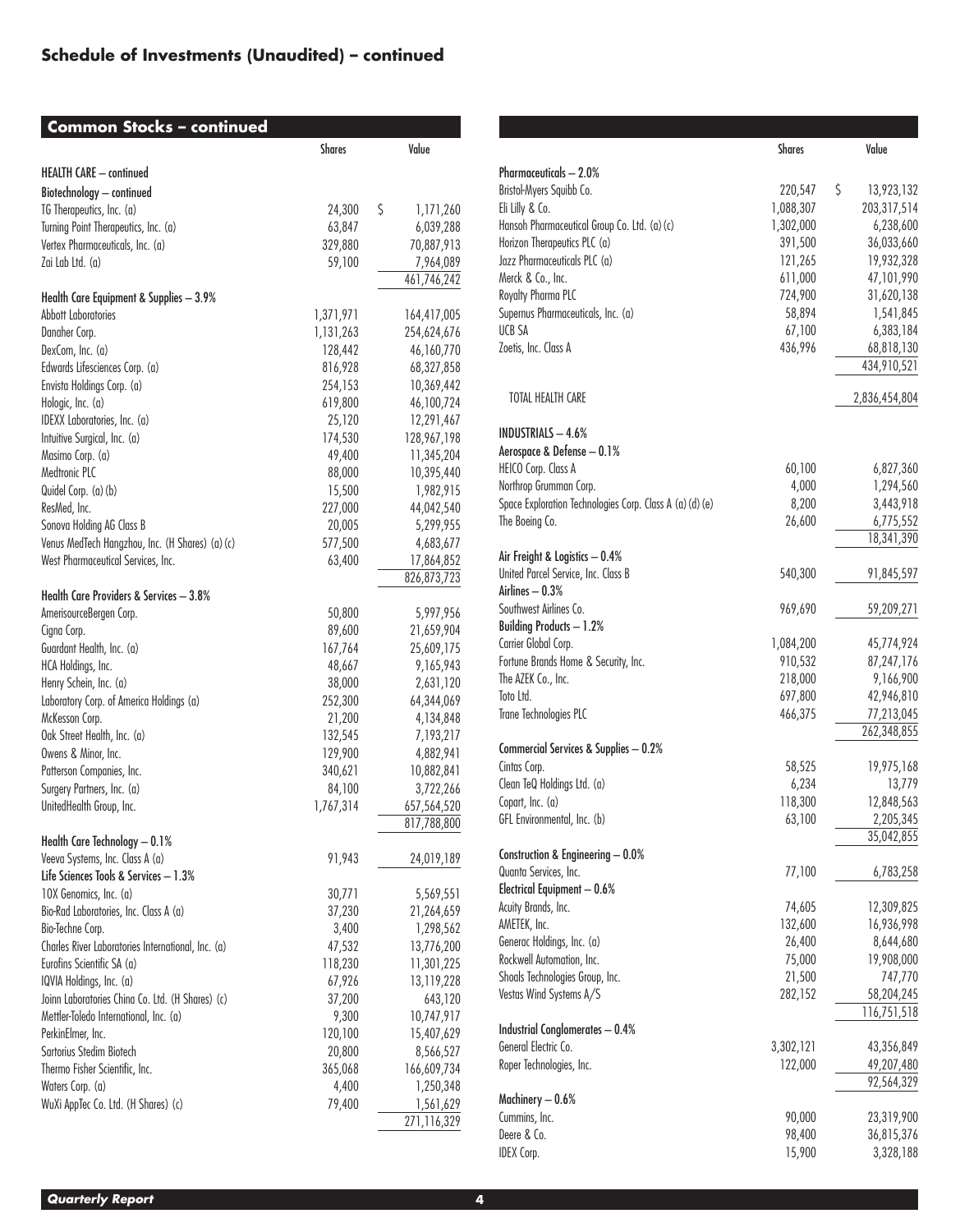## **Schedule of Investments (Unaudited) – continued**

| <b>Common Stocks - continued</b>                                             |                   |                           |
|------------------------------------------------------------------------------|-------------------|---------------------------|
|                                                                              | Shares            | Value                     |
| HEALTH CARE - continued                                                      |                   |                           |
| Biotechnology - continued                                                    |                   |                           |
| TG Therapeutics, Inc. (a)                                                    | 24,300            | \$<br>1,171,260           |
| Turning Point Therapeutics, Inc. (a)                                         | 63,847            | 6,039,288                 |
| Vertex Pharmaceuticals, Inc. (a)                                             | 329,880           | 70,887,913                |
| Zai Lab Ltd. (a)                                                             | 59,100            | 7,964,089                 |
|                                                                              |                   | 461,746,242               |
| Health Care Equipment & Supplies - 3.9%                                      |                   |                           |
| <b>Abbott Laboratories</b>                                                   | 1,371,971         | 164,417,005               |
| Danaher Corp.                                                                | 1,131,263         | 254,624,676               |
| DexCom, Inc. (a)                                                             | 128,442           | 46,160,770                |
| Edwards Lifesciences Corp. (a)                                               | 816,928           | 68,327,858                |
| Envista Holdings Corp. (a)                                                   | 254,153           | 10,369,442                |
| Hologic, Inc. (a)                                                            | 619,800           | 46,100,724                |
| IDEXX Laboratories, Inc. (a)                                                 | 25,120            | 12,291,467                |
| Intuitive Surgical, Inc. (a)                                                 | 174,530           | 128,967,198               |
| Masimo Corp. (a)                                                             | 49,400            | 11,345,204                |
| Medtronic PLC                                                                | 88,000            | 10,395,440                |
| Quidel Corp. (a) (b)                                                         | 15,500            | 1,982,915                 |
| ResMed, Inc.                                                                 | 227,000           | 44,042,540                |
| Sonova Holding AG Class B<br>Venus MedTech Hangzhou, Inc. (H Shares) (a) (c) | 20,005            | 5,299,955                 |
| West Pharmaceutical Services, Inc.                                           | 577,500<br>63,400 | 4,683,677                 |
|                                                                              |                   | 17,864,852<br>826,873,723 |
| Health Care Providers & Services - 3.8%                                      |                   |                           |
| AmerisourceBergen Corp.                                                      | 50,800            | 5,997,956                 |
| Cigna Corp.                                                                  | 89,600            | 21,659,904                |
| Guardant Health, Inc. (a)                                                    | 167,764           | 25,609,175                |
| HCA Holdings, Inc.                                                           | 48,667            | 9,165,943                 |
| Henry Schein, Inc. (a)                                                       | 38,000            | 2,631,120                 |
| Laboratory Corp. of America Holdings (a)                                     | 252,300           | 64,344,069                |
| McKesson Corp.                                                               | 21,200            | 4,134,848                 |
| Oak Street Health, Inc. (a)                                                  | 132,545           | 7,193,217                 |
| Owens & Minor, Inc.                                                          | 129,900           | 4,882,941                 |
| Patterson Companies, Inc.                                                    | 340,621           | 10,882,841                |
| Surgery Partners, Inc. (a)                                                   | 84,100            | 3,722,266                 |
| UnitedHealth Group, Inc.                                                     | 1,767,314         | 657,564,520               |
|                                                                              |                   | 817,788,800               |
| Health Care Technology - 0.1%                                                |                   |                           |
| Veeva Systems, Inc. Class A (a)                                              | 91,943            | 24,019,189                |
| Life Sciences Tools & Services - 1.3%                                        |                   |                           |
| 10X Genomics, Inc. (a)                                                       | 30,771            | 5,569,551                 |
| Bio-Rad Laboratories, Inc. Class A (a)                                       | 37,230            | 21,264,659                |
| Bio-Techne Corp.                                                             | 3,400             | 1,298,562                 |
| Charles River Laboratories International, Inc. (a)                           | 47,532            | 13,776,200                |
| Eurofins Scientific SA (a)                                                   | 118,230           | 11,301,225                |
| IQVIA Holdings, Inc. (a)                                                     | 67,926            | 13,119,228                |
| Joinn Laboratories China Co. Ltd. (H Shares) (c)                             | 37,200            | 643,120                   |
| Mettler-Toledo International, Inc. (a)                                       | 9,300             | 10,747,917                |
| PerkinElmer, Inc.<br>Sartorius Stedim Biotech                                | 120,100           | 15,407,629                |
| Thermo Fisher Scientific, Inc.                                               | 20,800            | 8,566,527                 |
| Waters Corp. (a)                                                             | 365,068<br>4,400  | 166,609,734<br>1,250,348  |
| WuXi AppTec Co. Ltd. (H Shares) (c)                                          | 79,400            | 1,561,629                 |
|                                                                              |                   | 271,116,329               |

|                                                                       | <b>Shares</b> | Value                     |
|-----------------------------------------------------------------------|---------------|---------------------------|
| Pharmaceuticals - 2.0%                                                |               |                           |
| Bristol-Myers Squibb Co.                                              | 220,547       | \$<br>13,923,132          |
| Eli Lilly & Co.                                                       | 1,088,307     | 203,317,514               |
| Hansoh Pharmaceutical Group Co. Ltd. (a) (c)                          | 1,302,000     | 6,238,600                 |
| Horizon Therapeutics PLC (a)                                          | 391,500       | 36,033,660                |
| Jazz Pharmaceuticals PLC (a)                                          | 121,265       | 19,932,328                |
| Merck & Co., Inc.                                                     | 611,000       | 47,101,990                |
| Royalty Pharma PLC                                                    | 724,900       | 31,620,138                |
| Supernus Pharmaceuticals, Inc. (a)                                    | 58,894        | 1,541,845                 |
| UCB SA                                                                | 67,100        | 6,383,184                 |
| Zoetis, Inc. Class A                                                  | 436,996       | 68,818,130                |
|                                                                       |               | 434,910,521               |
| TOTAL HEALTH CARE                                                     |               | 2,836,454,804             |
| <b>INDUSTRIALS - 4.6%</b>                                             |               |                           |
| Aerospace & Defense - 0.1%                                            |               |                           |
| HEICO Corp. Class A                                                   | 60,100        | 6,827,360                 |
| Northrop Grumman Corp.                                                | 4,000         | 1,294,560                 |
| Space Exploration Technologies Corp. Class A (a) (d) (e)              | 8,200         | 3,443,918                 |
| The Boeing Co.                                                        | 26,600        | 6,775,552                 |
|                                                                       |               | 18,341,390                |
| Air Freight & Logistics - 0.4%<br>United Parcel Service, Inc. Class B | 540,300       | 91,845,597                |
| Airlines - 0.3%                                                       |               |                           |
| Southwest Airlines Co.                                                | 969,690       | 59,209,271                |
| <b>Building Products - 1.2%</b>                                       |               |                           |
| Carrier Global Corp.                                                  | 1,084,200     | 45,774,924                |
| Fortune Brands Home & Security, Inc.                                  | 910,532       | 87,247,176                |
| The AZEK Co., Inc.                                                    | 218,000       | 9,166,900                 |
| Toto Ltd.                                                             | 697,800       | 42,946,810                |
| Trane Technologies PLC                                                | 466,375       | 77,213,045<br>262,348,855 |
| Commercial Services & Supplies - 0.2%                                 |               |                           |
| Cintas Corp.                                                          | 58,525        | 19,975,168                |
| Clean TeQ Holdings Ltd. (a)                                           | 6,234         | 13,779                    |
| Copart, Inc. (a)                                                      | 118,300       | 12,848,563                |
| GFL Environmental, Inc. (b)                                           | 63,100        | 2,205,345                 |
|                                                                       |               | 35,042,855                |
| Construction & Engineering - 0.0%<br>Quanta Services, Inc.            | 77,100        | 6,783,258                 |
| Electrical Equipment - 0.6%                                           |               |                           |
| Acuity Brands, Inc.                                                   | 74,605        | 12,309,825                |
| AMETEK, Inc.                                                          | 132,600       | 16,936,998                |
| Generac Holdings, Inc. (a)                                            | 26,400        | 8,644,680                 |
| Rockwell Automation, Inc.                                             | 75,000        | 19,908,000                |
| Shoals Technologies Group, Inc.                                       | 21,500        | 747,770                   |
| Vestas Wind Systems A/S                                               | 282,152       | 58,204,245                |
|                                                                       |               | 116,751,518               |
| <b>Industrial Conglomerates - 0.4%</b>                                |               |                           |
| General Electric Co.                                                  | 3,302,121     | 43,356,849                |
| Roper Technologies, Inc.                                              | 122,000       | 49,207,480<br>92,564,329  |
| Machinery - 0.6%                                                      |               |                           |
| Cummins, Inc.                                                         | 90,000        | 23,319,900                |
| Deere & Co.                                                           | 98,400        | 36,815,376                |
| <b>IDEX Corp.</b>                                                     | 15,900        | 3,328,188                 |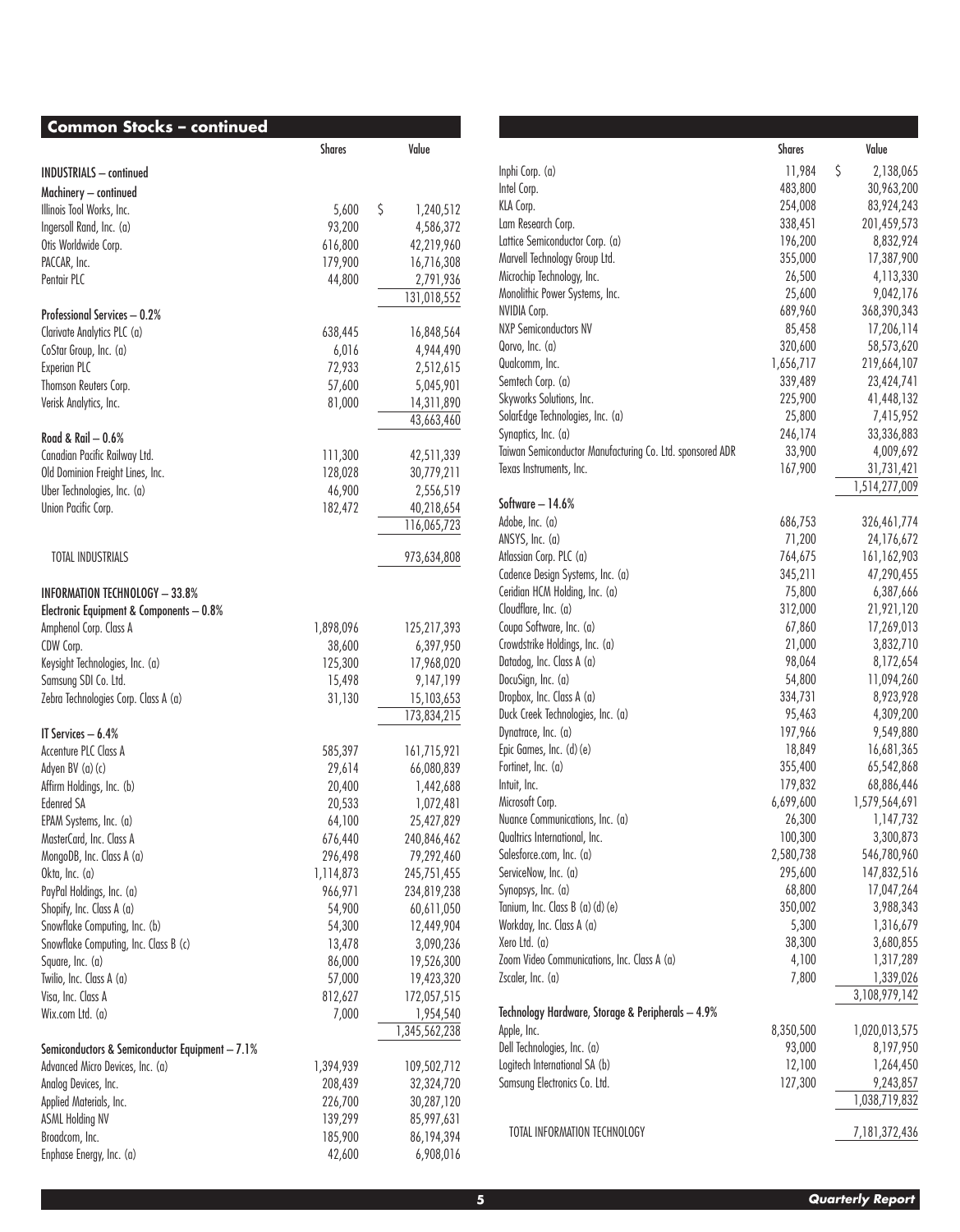| <b>Common Stocks - continued</b>                |               |                 |
|-------------------------------------------------|---------------|-----------------|
|                                                 | <b>Shares</b> | Value           |
| <b>INDUSTRIALS</b> - continued                  |               |                 |
| Machinery - continued                           |               |                 |
| Illinois Tool Works, Inc.                       | 5,600         | \$<br>1,240,512 |
| Ingersoll Rand, Inc. (a)                        | 93,200        | 4,586,372       |
| Otis Worldwide Corp.                            | 616,800       | 42,219,960      |
| PACCAR, Inc.                                    | 179,900       | 16,716,308      |
| Pentair PLC                                     | 44,800        | 2,791,936       |
|                                                 |               | 131,018,552     |
| Professional Services - 0.2%                    |               |                 |
| Clarivate Analytics PLC (a)                     | 638,445       | 16,848,564      |
| CoStar Group, Inc. (a)                          | 6,016         | 4,944,490       |
| <b>Experian PLC</b>                             | 72,933        | 2,512,615       |
| Thomson Reuters Corp.                           | 57,600        | 5,045,901       |
| Verisk Analytics, Inc.                          | 81,000        | 14,311,890      |
|                                                 |               | 43,663,460      |
| Road & Rail $-0.6%$                             |               |                 |
| Canadian Pacific Railway Ltd.                   | 111,300       | 42,511,339      |
| Old Dominion Freight Lines, Inc.                | 128,028       | 30,779,211      |
| Uber Technologies, Inc. (a)                     | 46,900        | 2,556,519       |
| Union Pacific Corp.                             | 182,472       | 40,218,654      |
|                                                 |               | 116,065,723     |
| <b>TOTAL INDUSTRIALS</b>                        |               | 973,634,808     |
|                                                 |               |                 |
| <b>INFORMATION TECHNOLOGY - 33.8%</b>           |               |                 |
| Electronic Equipment & Components - 0.8%        |               |                 |
| Amphenol Corp. Class A                          | 1,898,096     | 125,217,393     |
| CDW Corp.                                       | 38,600        | 6,397,950       |
| Keysight Technologies, Inc. (a)                 | 125,300       | 17,968,020      |
| Samsung SDI Co. Ltd.                            | 15,498        | 9,147,199       |
| Zebra Technologies Corp. Class A (a)            | 31,130        | 15,103,653      |
|                                                 |               | 173,834,215     |
| IT Services $-6.4%$                             |               |                 |
| Accenture PLC Class A                           | 585,397       | 161,715,921     |
| Adyen BV (a) (c)                                | 29,614        | 66,080,839      |
| Affirm Holdings, Inc. (b)                       | 20,400        | 1,442,688       |
| <b>Edenred SA</b>                               | 20,533        | 1,072,481       |
| EPAM Systems, Inc. (a)                          | 64,100        | 25,427,829      |
| MasterCard, Inc. Class A                        | 676,440       | 240,846,462     |
| MongoDB, Inc. Class A (a)                       | 296,498       | 79,292,460      |
| Okta, Inc. (a)                                  | 1,114,873     | 245,751,455     |
| PayPal Holdings, Inc. (a)                       | 966,971       | 234,819,238     |
| Shopify, Inc. Class A (a)                       | 54,900        | 60,611,050      |
| Snowflake Computing, Inc. (b)                   | 54,300        | 12,449,904      |
| Snowflake Computing, Inc. Class B (c)           | 13,478        | 3,090,236       |
| Square, Inc. (a)                                | 86,000        | 19,526,300      |
| Twilio, Inc. Class A (a)                        | 57,000        | 19,423,320      |
| Visa, Inc. Class A                              | 812,627       | 172,057,515     |
| Wix.com Ltd. (a)                                |               | 1,954,540       |
|                                                 | 7,000         | 1,345,562,238   |
| Semiconductors & Semiconductor Equipment - 7.1% |               |                 |
| Advanced Micro Devices, Inc. (a)                | 1,394,939     | 109,502,712     |
| Analog Devices, Inc.                            | 208,439       | 32,324,720      |
| Applied Materials, Inc.                         | 226,700       | 30,287,120      |
| <b>ASML Holding NV</b>                          | 139,299       | 85,997,631      |
| Broadcom, Inc.                                  | 185,900       | 86,194,394      |
| Enphase Energy, Inc. (a)                        | 42,600        | 6,908,016       |
|                                                 |               |                 |

|                                                                                  | <b>Shares</b>     | Value                   |
|----------------------------------------------------------------------------------|-------------------|-------------------------|
| Inphi Corp. (a)                                                                  | 11,984            | \$<br>2,138,065         |
| Intel Corp.                                                                      | 483,800           | 30,963,200              |
| KLA Corp.                                                                        | 254,008           | 83,924,243              |
| Lam Research Corp.                                                               | 338,451           | 201,459,573             |
| Lattice Semiconductor Corp. (a)                                                  | 196,200           | 8,832,924               |
| Marvell Technology Group Ltd.                                                    | 355,000           | 17,387,900              |
| Microchip Technology, Inc.                                                       | 26,500            | 4,113,330               |
| Monolithic Power Systems, Inc.                                                   | 25,600            | 9,042,176               |
| NVIDIA Corp.                                                                     | 689,960           | 368,390,343             |
| <b>NXP Semiconductors NV</b>                                                     | 85,458            | 17,206,114              |
| Qorvo, Inc. (a)                                                                  | 320,600           | 58,573,620              |
| Qualcomm, Inc.                                                                   | 1,656,717         | 219,664,107             |
| Semtech Corp. (a)                                                                | 339,489           | 23,424,741              |
| Skyworks Solutions, Inc.                                                         | 225,900           | 41,448,132              |
| SolarEdge Technologies, Inc. (a)                                                 | 25,800            | 7,415,952               |
| Synaptics, Inc. (a)<br>Taiwan Semiconductor Manufacturing Co. Ltd. sponsored ADR | 246,174           | 33,336,883<br>4,009,692 |
| Texas Instruments, Inc.                                                          | 33,900<br>167,900 | 31,731,421              |
|                                                                                  |                   | 1,514,277,009           |
| Software - 14.6%                                                                 |                   |                         |
| Adobe, Inc. (a)                                                                  | 686,753           | 326,461,774             |
| ANSYS, Inc. (a)                                                                  | 71,200            | 24,176,672              |
| Atlassian Corp. PLC (a)                                                          | 764,675           | 161,162,903             |
| Cadence Design Systems, Inc. (a)                                                 | 345,211           | 47,290,455              |
| Ceridian HCM Holding, Inc. (a)                                                   | 75,800            | 6,387,666               |
| Cloudflare, Inc. (a)                                                             | 312,000           | 21,921,120              |
| Coupa Software, Inc. (a)                                                         | 67,860            | 17,269,013              |
| Crowdstrike Holdings, Inc. (a)                                                   | 21,000            | 3,832,710               |
| Datadog, Inc. Class A (a)                                                        | 98,064            | 8,172,654               |
| DocuSign, Inc. (a)                                                               | 54,800            | 11,094,260              |
| Dropbox, Inc. Class A (a)<br>Duck Creek Technologies, Inc. (a)                   | 334,731<br>95,463 | 8,923,928<br>4,309,200  |
| Dynatrace, Inc. (a)                                                              | 197,966           | 9,549,880               |
| Epic Games, Inc. (d) (e)                                                         | 18,849            | 16,681,365              |
| Fortinet, Inc. (a)                                                               | 355,400           | 65,542,868              |
| Intuit, Inc.                                                                     | 179,832           | 68,886,446              |
| Microsoft Corp.                                                                  | 6,699,600         | 1,579,564,691           |
| Nuance Communications, Inc. (a)                                                  | 26,300            | 1,147,732               |
| Qualtrics International, Inc.                                                    | 100,300           | 3,300,873               |
| Salesforce.com, Inc. (a)                                                         | 2,580,738         | 546,780,960             |
| ServiceNow, Inc. (a)                                                             | 295,600           | 147,832,516             |
| Synopsys, Inc. (a)                                                               | 68,800            | 17,047,264              |
| Tanium, Inc. Class B (a) (d) (e)                                                 | 350,002           | 3,988,343               |
| Workday, Inc. Class A (a)                                                        | 5,300             | 1,316,679               |
| Xero Ltd. (a)                                                                    | 38,300            | 3,680,855               |
| Zoom Video Communications, Inc. Class A (a)                                      | 4,100             | 1,317,289               |
| Zscaler, Inc. (a)                                                                | 7,800             | 1,339,026               |
|                                                                                  |                   | 3,108,979,142           |
| Technology Hardware, Storage & Peripherals - 4.9%                                |                   |                         |
| Apple, Inc.                                                                      | 8,350,500         | 1,020,013,575           |
| Dell Technologies, Inc. (a)                                                      | 93,000            | 8,197,950               |
| Logitech International SA (b)                                                    | 12,100            | 1,264,450               |
| Samsung Electronics Co. Ltd.                                                     | 127,300           | 9,243,857               |
|                                                                                  |                   | 1,038,719,832           |
| TOTAL INFORMATION TECHNOLOGY                                                     |                   | 7,181,372,436           |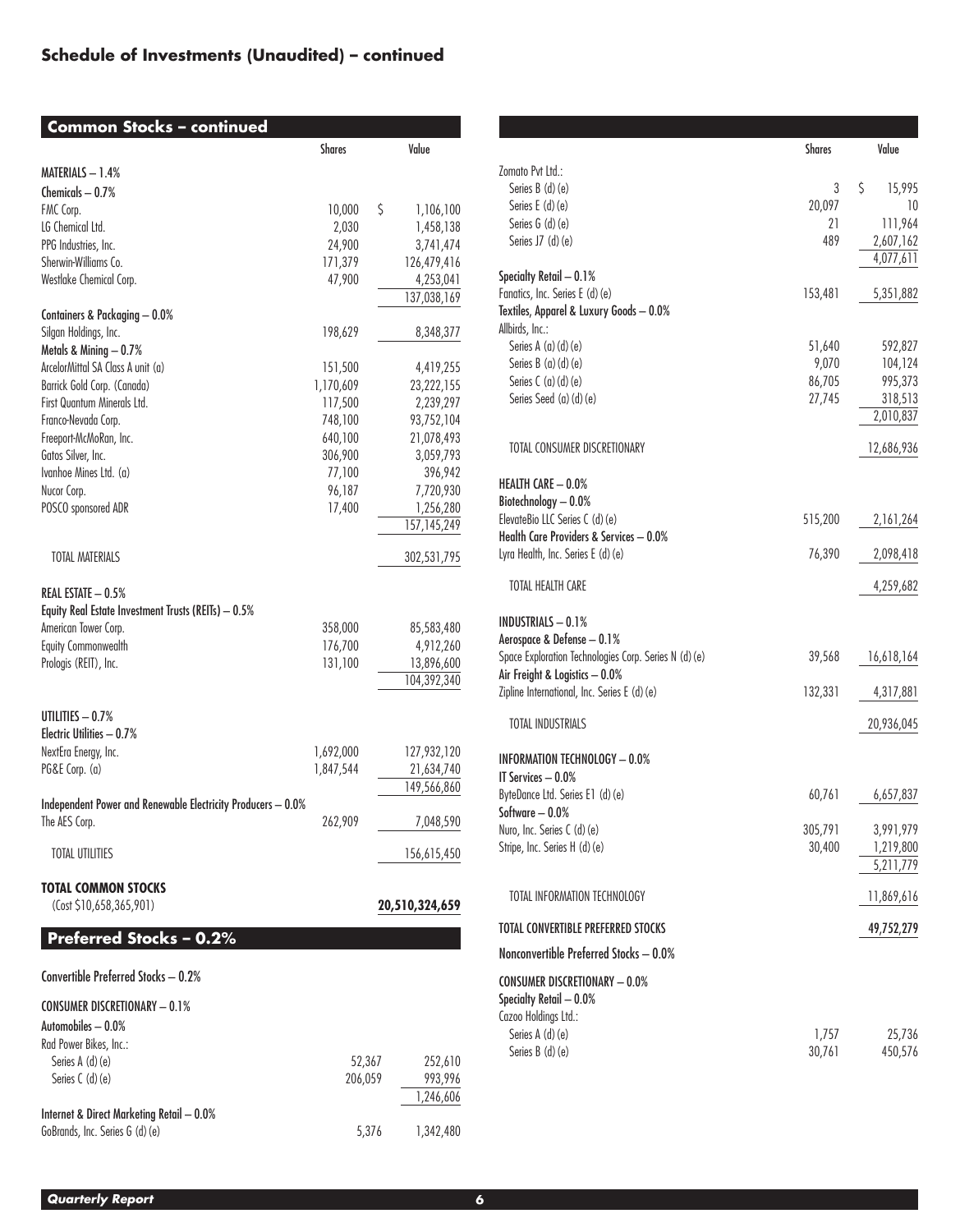## **Schedule of Investments (Unaudited) – continued**

| <b>Common Stocks - continued</b>                                             |           |                    |
|------------------------------------------------------------------------------|-----------|--------------------|
|                                                                              | Shares    | Value              |
| MATERIALS - 1.4%                                                             |           |                    |
| Chemicals $-0.7%$                                                            |           |                    |
| FMC Corp.                                                                    | 10,000    | \$<br>1,106,100    |
| LG Chemical Ltd.                                                             | 2,030     | 1,458,138          |
| PPG Industries, Inc.                                                         | 24,900    | 3,741,474          |
| Sherwin-Williams Co.                                                         | 171,379   | 126,479,416        |
| Westlake Chemical Corp.                                                      | 47,900    | 4,253,041          |
|                                                                              |           | 137,038,169        |
| Containers & Packaging - 0.0%                                                |           |                    |
| Silgan Holdings, Inc.                                                        | 198,629   | 8,348,377          |
| Metals & Mining - 0.7%                                                       |           |                    |
| ArcelorMittal SA Class A unit (a)                                            | 151,500   | 4,419,255          |
| Barrick Gold Corp. (Canada)                                                  | 1,170,609 | 23,222,155         |
| First Quantum Minerals Ltd.                                                  | 117,500   | 2,239,297          |
| Franco-Nevada Corp.                                                          | 748,100   | 93,752,104         |
| Freeport-McMoRan, Inc.                                                       | 640,100   | 21,078,493         |
| Gatos Silver, Inc.                                                           | 306,900   | 3,059,793          |
| Ivanhoe Mines Ltd. (a)                                                       | 77,100    | 396,942            |
| Nucor Corp.                                                                  | 96,187    | 7,720,930          |
| POSCO sponsored ADR                                                          | 17,400    | 1,256,280          |
|                                                                              |           | 157, 145, 249      |
| <b>TOTAL MATERIALS</b>                                                       |           | 302,531,795        |
| REAL ESTATE - 0.5%<br>Equity Real Estate Investment Trusts (REITs) - 0.5%    |           |                    |
| American Tower Corp.                                                         | 358,000   | 85,583,480         |
| Equity Commonwealth                                                          | 176,700   | 4,912,260          |
| Prologis (REIT), Inc.                                                        | 131,100   | 13,896,600         |
|                                                                              |           | 104,392,340        |
| UTILITIES $-0.7\%$<br>Electric Utilities - 0.7%                              |           |                    |
| NextEra Energy, Inc.                                                         | 1,692,000 | 127,932,120        |
| PG&E Corp. (a)                                                               | 1,847,544 | 21,634,740         |
|                                                                              |           | 149,566,860        |
| Independent Power and Renewable Electricity Producers - 0.0%                 |           |                    |
| The AES Corp.                                                                | 262,909   | 7,048,590          |
| <b>TOTAL UTILITIES</b>                                                       |           | 156,615,450        |
| <b>TOTAL COMMON STOCKS</b><br>(Cost \$10,658,365,901)                        |           | 20,510,324,659     |
| Preferred Stocks - 0.2%                                                      |           |                    |
| Convertible Preferred Stocks - 0.2%                                          |           |                    |
| <b>CONSUMER DISCRETIONARY - 0.1%</b>                                         |           |                    |
| Automobiles - 0.0%                                                           |           |                    |
| Rad Power Bikes, Inc.:                                                       |           |                    |
| Series A (d) (e)                                                             | 52,367    | 252,610            |
| Series C (d) (e)                                                             |           |                    |
|                                                                              | 206,059   | 993,996            |
|                                                                              |           | 1,246,606          |
| Internet & Direct Marketing Retail - 0.0%<br>GoBrands, Inc. Series G (d) (e) |           | 5,376<br>1,342,480 |

|                                                                            | <b>Shares</b>   | Value             |
|----------------------------------------------------------------------------|-----------------|-------------------|
| Zomato Pvt Ltd.:                                                           |                 |                   |
| Series B (d) (e)                                                           | 3               | \$<br>15,995      |
| Series E (d) (e)<br>Series $G(d)(e)$                                       | 20,097<br>21    | 10<br>111,964     |
| Series J7 $(d)(e)$                                                         | 489             | 2,607,162         |
|                                                                            |                 | 4,077,611         |
| Specialty Retail - 0.1%                                                    |                 |                   |
| Fanatics, Inc. Series E (d) (e)                                            | 153,481         | 5,351,882         |
| Textiles, Apparel & Luxury Goods - 0.0%<br>Allbirds, Inc.:                 |                 |                   |
| Series A (a) (d) (e)                                                       | 51,640          | 592,827           |
| Series B (a) (d) (e)                                                       | 9,070           | 104,124           |
| Series $C(a)(d)(e)$                                                        | 86,705          | 995,373           |
| Series Seed (a) (d) (e)                                                    | 27,745          | 318,513           |
|                                                                            |                 | 2,010,837         |
| TOTAL CONSUMER DISCRETIONARY                                               |                 | 12,686,936        |
| HEALTH CARE - 0.0%                                                         |                 |                   |
| Biotechnology - 0.0%                                                       |                 |                   |
| ElevateBio LLC Series C (d) (e)<br>Health Care Providers & Services - 0.0% | 515,200         | 2,161,264         |
| Lyra Health, Inc. Series E (d) (e)                                         | 76,390          | 2,098,418         |
| TOTAL HEALTH CARE                                                          |                 | 4,259,682         |
| <b>INDUSTRIALS - 0.1%</b>                                                  |                 |                   |
| Aerospace & Defense - 0.1%                                                 |                 |                   |
| Space Exploration Technologies Corp. Series N (d) (e)                      | 39,568          | 16,618,164        |
| Air Freight & Logistics - 0.0%                                             |                 |                   |
| Zipline International, Inc. Series E (d) (e)                               | 132,331         | 4,317,881         |
| <b>TOTAL INDUSTRIALS</b>                                                   |                 | 20,936,045        |
| <b>INFORMATION TECHNOLOGY - 0.0%</b>                                       |                 |                   |
| IT Services - 0.0%                                                         |                 |                   |
| ByteDance Ltd. Series E1 (d) (e)<br>Software - 0.0%                        | 60,761          | 6,657,837         |
| Nuro, Inc. Series C (d) (e)                                                | 305,791         | 3,991,979         |
| Stripe, Inc. Series H (d) (e)                                              | 30,400          | 1,219,800         |
|                                                                            |                 | 5,211,779         |
| TOTAL INFORMATION TECHNOLOGY                                               |                 | 11,869,616        |
| TOTAL CONVERTIBLE PREFERRED STOCKS                                         |                 | 49,752,279        |
| Nonconvertible Preferred Stocks - 0.0%                                     |                 |                   |
| <b>CONSUMER DISCRETIONARY - 0.0%</b>                                       |                 |                   |
| Specialty Retail - 0.0%                                                    |                 |                   |
| Cazoo Holdings Ltd.:                                                       |                 |                   |
| Series A (d) (e)<br>Series B (d) (e)                                       | 1,757<br>30,761 | 25,736<br>450,576 |
|                                                                            |                 |                   |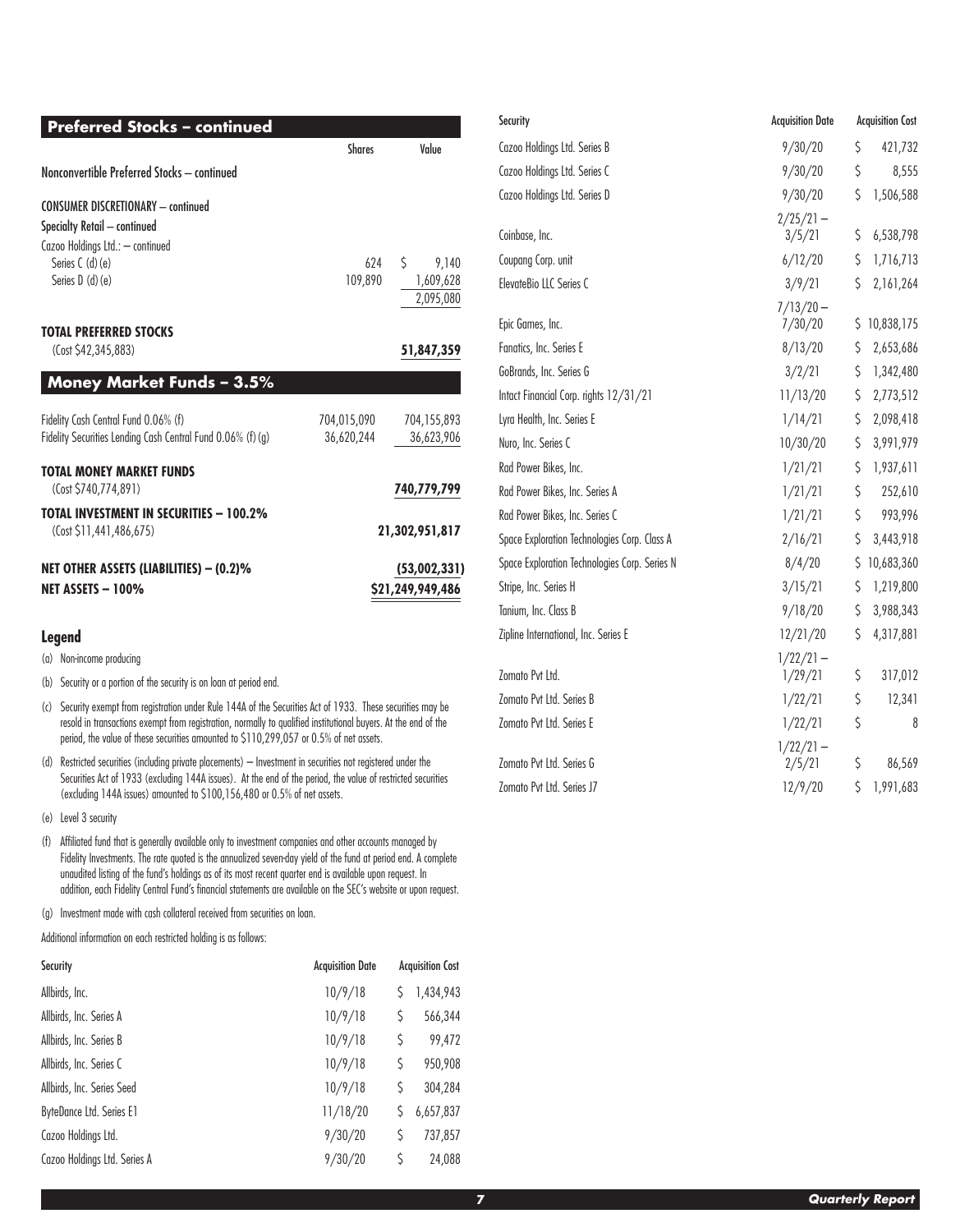| <b>Preferred Stocks - continued</b>                                                                                                                   |                           |                                                    |
|-------------------------------------------------------------------------------------------------------------------------------------------------------|---------------------------|----------------------------------------------------|
|                                                                                                                                                       | <b>Shares</b>             | Value                                              |
| Nonconvertible Preferred Stocks - continued                                                                                                           |                           |                                                    |
| <b>CONSUMER DISCRETIONARY - continued</b><br>Specialty Retail - continued<br>Cazoo Holdings Ltd.: - continued<br>Series C (d) (e)<br>Series $D(d)(e)$ | 624<br>109,890            | Ŝ.<br>9,140<br>1,609,628<br>2,095,080              |
| <b>TOTAL PREFERRED STOCKS</b><br>(Cost \$42,345,883)                                                                                                  |                           | 51,847,359                                         |
| <b>Money Market Funds - 3.5%</b>                                                                                                                      |                           |                                                    |
| Fidelity Cash Central Fund 0.06% (f)<br>Fidelity Securities Lending Cash Central Fund 0.06% (f) (g)                                                   | 704.015.090<br>36,620,244 | 704,155,893<br>36,623,906                          |
| <b>TOTAL MONEY MARKET FUNDS</b><br>(Cost \$740,774,891)<br><b>TOTAL INVESTMENT IN SECURITIES - 100.2%</b>                                             |                           | 740,779,799                                        |
| (Cost \$11,441,486,675)<br>NET OTHER ASSETS (LIABILITIES) – (0.2)%<br>NET ASSETS - 100%                                                               |                           | 21,302,951,817<br>(53,002,331)<br>\$21,249,949,486 |

#### **Legend**

(a) Non-income producing

- (b) Security or a portion of the security is on loan at period end.
- (c) Security exempt from registration under Rule 144A of the Securities Act of 1933. These securities may be resold in transactions exempt from registration, normally to qualified institutional buyers. At the end of the period, the value of these securities amounted to \$110,299,057 or 0.5% of net assets.
- (d) Restricted securities (including private placements) Investment in securities not registered under the Securities Act of 1933 (excluding 144A issues). At the end of the period, the value of restricted securities (excluding 144A issues) amounted to \$100,156,480 or 0.5% of net assets.
- (e) Level 3 security
- (f) Affiliated fund that is generally available only to investment companies and other accounts managed by Fidelity Investments. The rate quoted is the annualized seven-day yield of the fund at period end. A complete unaudited listing of the fund's holdings as of its most recent quarter end is available upon request. In addition, each Fidelity Central Fund's financial statements are available on the SEC's website or upon request.
- (g) Investment made with cash collateral received from securities on loan.

Additional information on each restricted holding is as follows:

| Security                     | <b>Acquisition Date</b> |    | <b>Acquisition Cost</b> |
|------------------------------|-------------------------|----|-------------------------|
| Allbirds, Inc.               | 10/9/18                 | S  | 1,434,943               |
| Allbirds, Inc. Series A      | 10/9/18                 | S  | 566,344                 |
| Allbirds, Inc. Series B      | 10/9/18                 | \$ | 99,472                  |
| Allbirds, Inc. Series C      | 10/9/18                 | S  | 950,908                 |
| Allbirds, Inc. Series Seed   | 10/9/18                 | S  | 304,284                 |
| ByteDance Ltd. Series E1     | 11/18/20                |    | 6,657,837               |
| Cazoo Holdings Ltd.          | 9/30/20                 | S  | 737,857                 |
| Cazoo Holdings Ltd. Series A | 9/30/20                 | S  | 24,088                  |

| Security                                      | <b>Acquisition Date</b> | <b>Acquisition Cost</b> |              |
|-----------------------------------------------|-------------------------|-------------------------|--------------|
| Cazoo Holdings Ltd. Series B                  | 9/30/20                 | \$                      | 421,732      |
| Cazoo Holdings Ltd. Series C                  | 9/30/20                 | \$                      | 8,555        |
| Cazoo Holdings Ltd. Series D                  | 9/30/20                 | \$                      | 1,506,588    |
|                                               | $2/25/21 -$             |                         |              |
| Coinbase, Inc.                                | 3/5/21                  | \$                      | 6,538,798    |
| Coupang Corp. unit                            | 6/12/20                 | \$                      | 1,716,713    |
| ElevateBio LLC Series C                       | 3/9/21                  | Ŝ.                      | 2,161,264    |
|                                               | $7/13/20 -$             |                         |              |
| Epic Games, Inc.                              | 7/30/20                 |                         | \$10,838,175 |
| Fanatics, Inc. Series E                       | 8/13/20                 | \$                      | 2,653,686    |
| GoBrands, Inc. Series G                       | 3/2/21                  | \$                      | 1,342,480    |
| Intact Financial Corp. rights 12/31/21        | 11/13/20                | \$                      | 2,773,512    |
| Lyra Health, Inc. Series E                    | 1/14/21                 | \$                      | 2,098,418    |
| Nuro, Inc. Series C                           | 10/30/20                | Ŝ.                      | 3,991,979    |
| Rad Power Bikes, Inc.                         | 1/21/21                 | \$                      | 1,937,611    |
| Rad Power Bikes, Inc. Series A                | 1/21/21                 | \$                      | 252,610      |
| Rad Power Bikes, Inc. Series C                | 1/21/21                 | \$                      | 993,996      |
| Space Exploration Technologies Corp. Class A  | 2/16/21                 | \$                      | 3,443,918    |
| Space Exploration Technologies Corp. Series N | 8/4/20                  |                         | \$10,683,360 |
| Stripe, Inc. Series H                         | 3/15/21                 | \$                      | 1,219,800    |
| Tanium, Inc. Class B                          | 9/18/20                 | \$                      | 3,988,343    |
| Zipline International, Inc. Series E          | 12/21/20                | \$                      | 4,317,881    |
|                                               | $1/22/21 -$             |                         |              |
| Zomato Pvt Ltd.                               | 1/29/21                 | \$                      | 317,012      |
| Zomato Pvt Ltd. Series B                      | 1/22/21                 | \$                      | 12,341       |
| Zomato Pvt Ltd. Series E                      | 1/22/21                 | \$                      | 8            |
|                                               | $1/22/21 -$             |                         |              |
| Zomato Pvt Ltd. Series G                      | 2/5/21                  | \$                      | 86,569       |
| Zomato Pvt Ltd. Series J7                     | 12/9/20                 | \$                      | 1,991,683    |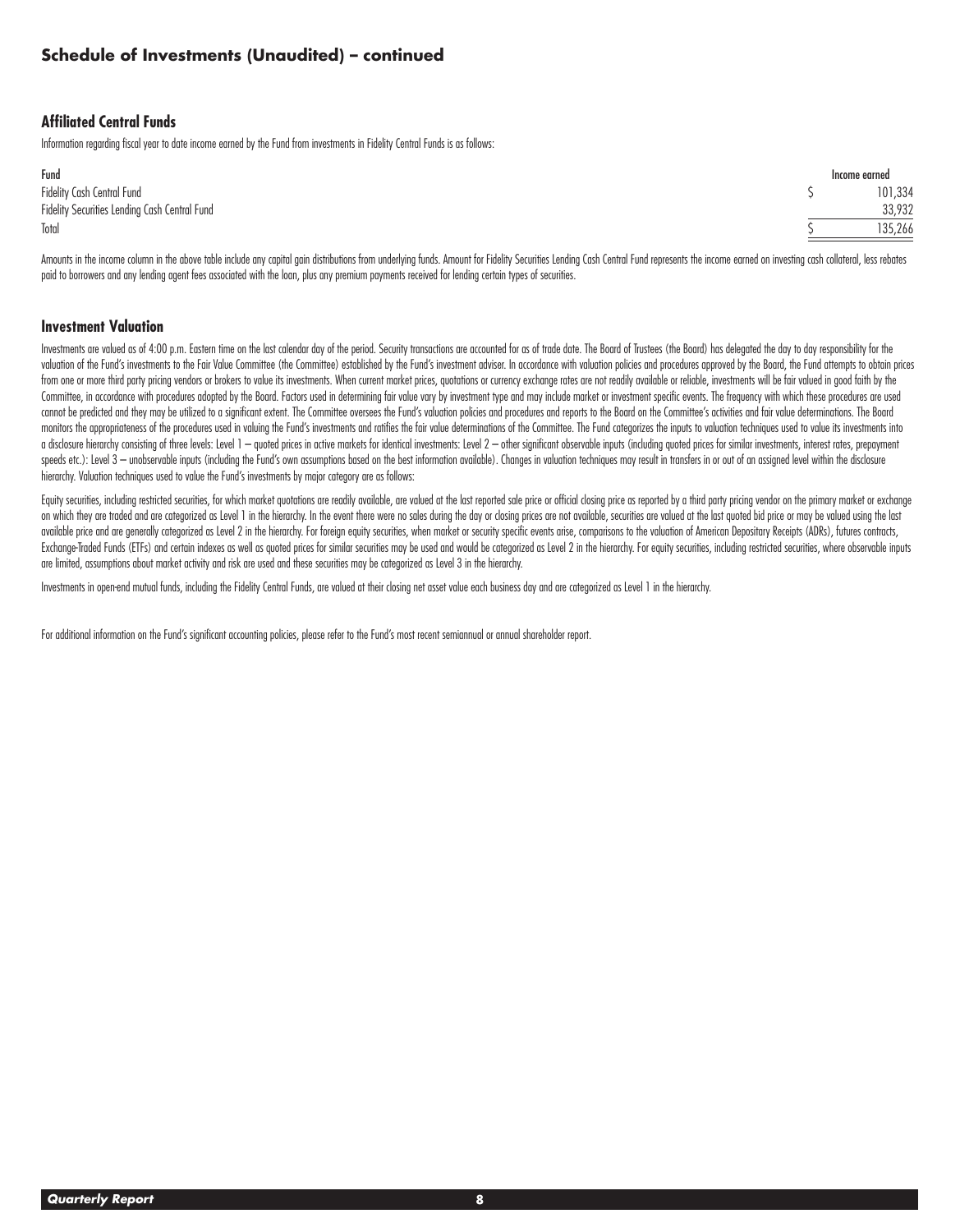### **Affiliated Central Funds**

Information regarding fiscal year to date income earned by the Fund from investments in Fidelity Central Funds is as follows:

| Fund                                          | Income earned |
|-----------------------------------------------|---------------|
| Fidelity Cash Central Fund                    | 101,334       |
| Fidelity Securities Lending Cash Central Fund | 33.932        |
| Total                                         | 135.266       |
|                                               |               |

Amounts in the income column in the above table include any capital agin distributions from underlying funds. Amount for Fidelity Securities Lending Cash Central Fund represents the income earned on investing cash collater paid to borrowers and any lending agent fees associated with the loan, plus any premium payments received for lending certain types of securities.

#### **Investment Valuation**

Investments are valued as of 4:00 p.m. Eastern time on the last calendar day of the period. Security transactions are accounted for as of trade date. The Board of Trustees (the Board) has delegated the day to day responsib valuation of the Fund's investments to the Fair Value Committee (the Committee) established by the Fund's investment adviser. In accordance with valuation policies and procedures approved by the Board, the Fund attempts to from one or more third party pricing vendors or brokers to value its investments. When current market prices, quotations or currency exchange rates are not readily available or reliable, investments will be fair valued in Committee, in accordance with procedures adopted by the Board. Factors used in determining fair value vary by investment type and may include market or investment specific events. The frequency with which these procedures cannot be predicted and they may be utilized to a significant extent. The Committee oversees the Fund's valuation policies and procedures and reports to the Board on the Committee's activities and fair value determinations monitors the appropriateness of the procedures used in valuing the Fund's investments and ratifies the fair value determinations of the Committee. The Fund categorizes the inputs to valuation techniques used to value its i a disclosure hierarchy consisting of three levels: Level 1 - auoted prices in active markets for identical investments: Level 2 - other significant observable inputs (including auoted prices for similar investments, intere speeds etc.): Level 3 — unobservable inputs (including the Fund's own assumptions based on the best information available). Changes in valuation techniques may result in transfers in or out of an assigned level within the hierarchy. Valuation techniques used to value the Fund's investments by major category are as follows:

Equity securities, including restricted securities, for which market quotations are readily available, are valued at the last reported sale price or official closing price as reported by a third party pricing vendor on the on which they are traded and are categorized as Level 1 in the hierarchy. In the event there were no sales during the day or dosing prices are not available, securities are valued at the last quoted bid price or may be val available price and are generally categorized as Level 2 in the hierarchy. For foreign equity securities, when market or security specific events arise, comparisons to the valuation of American Depositary Receipts (ADRs), Exchange-Traded Funds (ETFs) and certain indexes as well as quoted prices for similar securities may be used and would be categorized as Level 2 in the hierarchy. For equity securities, including restricted securities, whe are limited, assumptions about market activity and risk are used and these securities may be categorized as Level 3 in the hierarchy.

Investments in open-end mutual funds, including the Fidelity Central Funds, are valued at their closing net asset value each business day and are categorized as Level 1 in the hierarchy.

For additional information on the Fund's significant accounting policies, please refer to the Fund's most recent semiannual or annual shareholder report.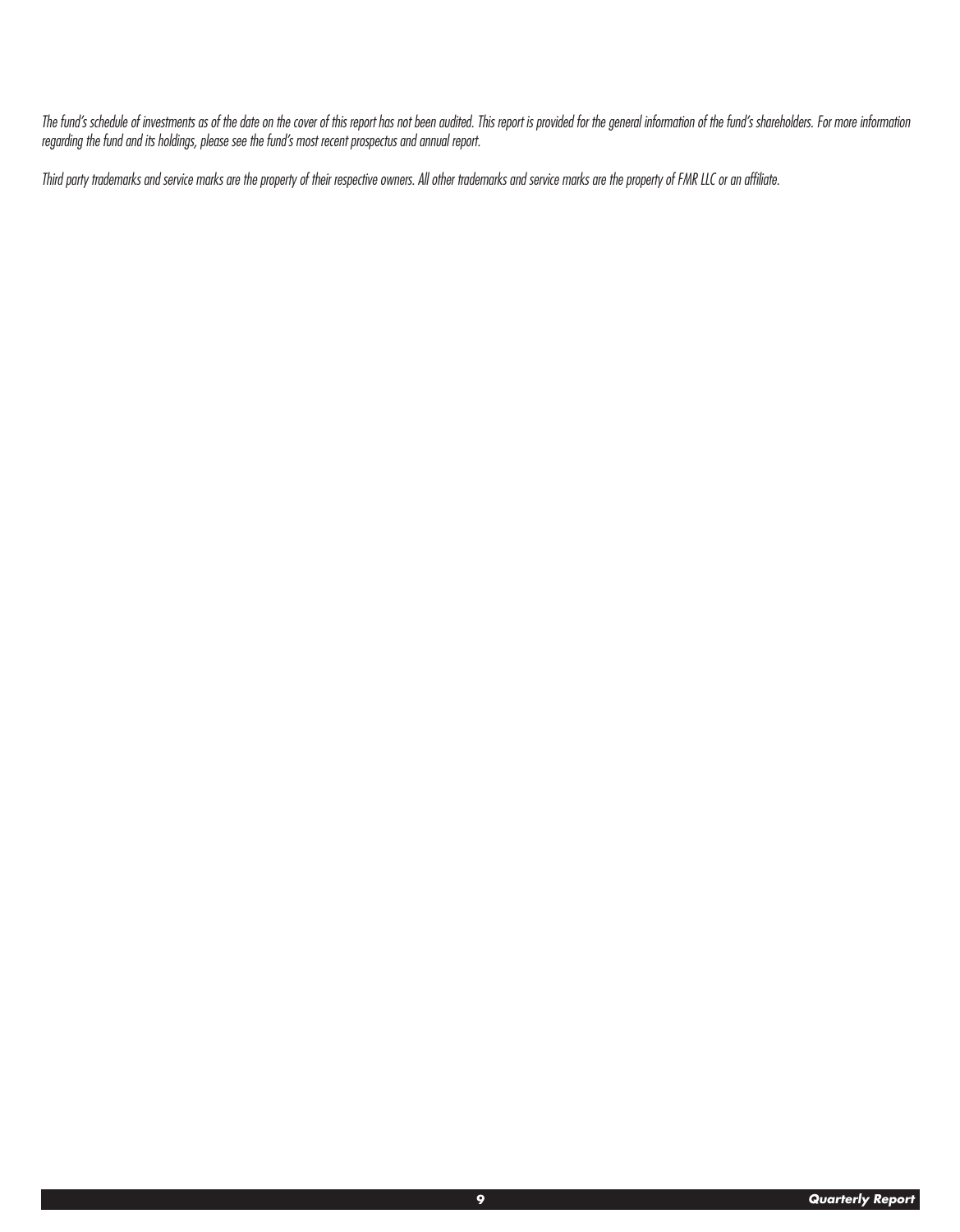*The fund's schedule of investments as of the date on the cover of this report has not been audited. This report is provided for the general information of the fund's shareholders. For more information regarding the fund and its holdings, please see the fund's most recent prospectus and annual report.*

*Third party trademarks and service marks are the property of their respective owners. All other trademarks and service marks are the property of FMR LLC or an affiliate.*